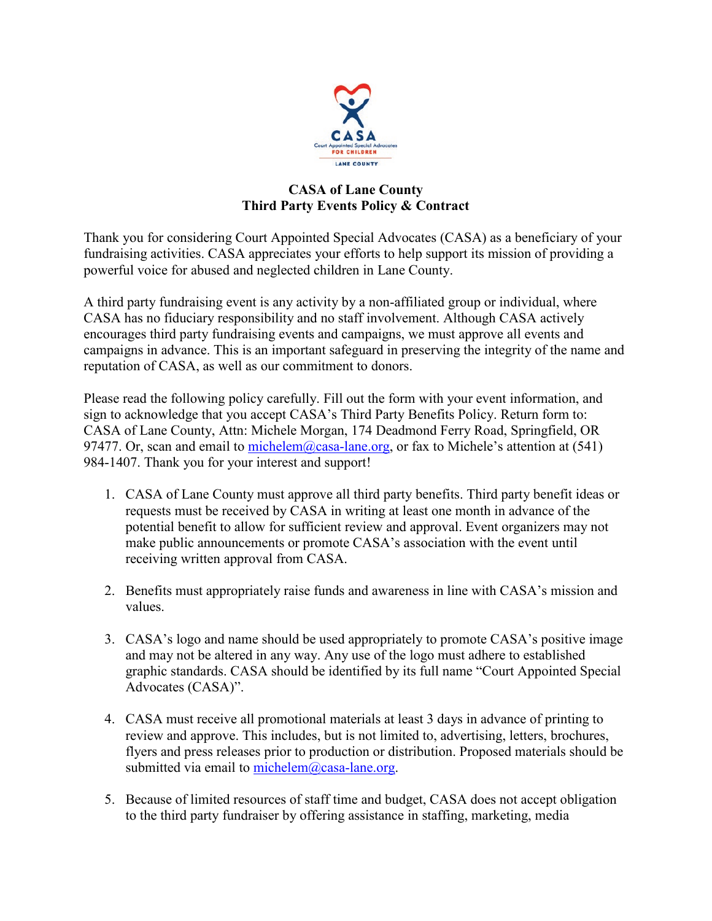

## **CASA of Lane County Third Party Events Policy & Contract**

Thank you for considering Court Appointed Special Advocates (CASA) as a beneficiary of your fundraising activities. CASA appreciates your efforts to help support its mission of providing a powerful voice for abused and neglected children in Lane County.

A third party fundraising event is any activity by a non-affiliated group or individual, where CASA has no fiduciary responsibility and no staff involvement. Although CASA actively encourages third party fundraising events and campaigns, we must approve all events and campaigns in advance. This is an important safeguard in preserving the integrity of the name and reputation of CASA, as well as our commitment to donors.

Please read the following policy carefully. Fill out the form with your event information, and sign to acknowledge that you accept CASA's Third Party Benefits Policy. Return form to: CASA of Lane County, Attn: Michele Morgan, 174 Deadmond Ferry Road, Springfield, OR 97477. Or, scan and email to [michelem@casa-lane.org,](mailto:michelem@casa-lane.org) or fax to Michele's attention at  $(541)$ 984-1407. Thank you for your interest and support!

- 1. CASA of Lane County must approve all third party benefits. Third party benefit ideas or requests must be received by CASA in writing at least one month in advance of the potential benefit to allow for sufficient review and approval. Event organizers may not make public announcements or promote CASA's association with the event until receiving written approval from CASA.
- 2. Benefits must appropriately raise funds and awareness in line with CASA's mission and values.
- 3. CASA's logo and name should be used appropriately to promote CASA's positive image and may not be altered in any way. Any use of the logo must adhere to established graphic standards. CASA should be identified by its full name "Court Appointed Special Advocates (CASA)".
- 4. CASA must receive all promotional materials at least 3 days in advance of printing to review and approve. This includes, but is not limited to, advertising, letters, brochures, flyers and press releases prior to production or distribution. Proposed materials should be submitted via email to [michelem@casa-lane.org.](mailto:michelem@casa-lane.org)
- 5. Because of limited resources of staff time and budget, CASA does not accept obligation to the third party fundraiser by offering assistance in staffing, marketing, media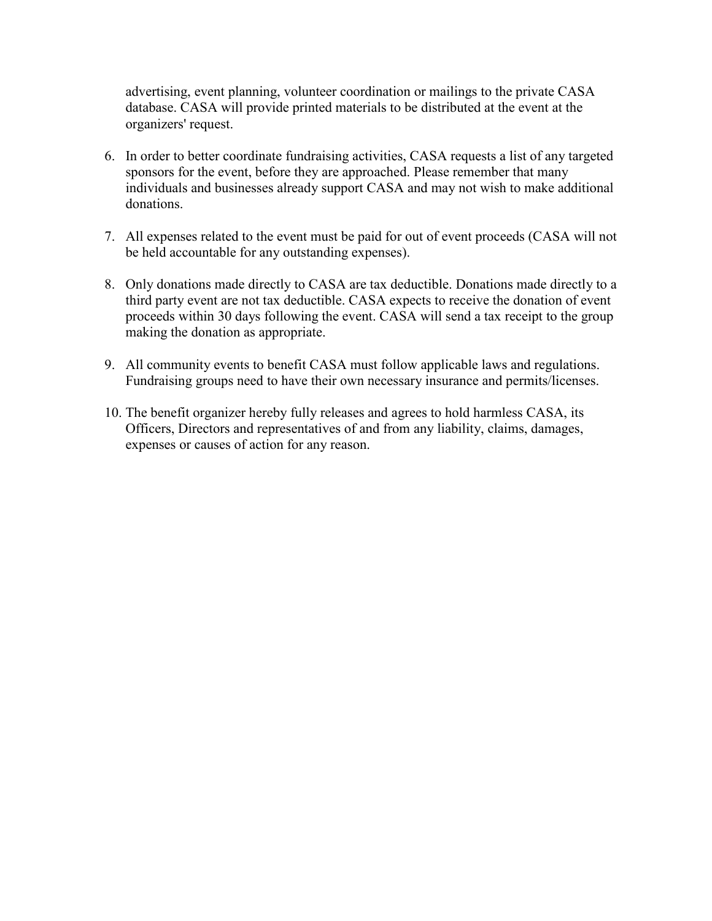advertising, event planning, volunteer coordination or mailings to the private CASA database. CASA will provide printed materials to be distributed at the event at the organizers' request.

- 6. In order to better coordinate fundraising activities, CASA requests a list of any targeted sponsors for the event, before they are approached. Please remember that many individuals and businesses already support CASA and may not wish to make additional donations.
- 7. All expenses related to the event must be paid for out of event proceeds (CASA will not be held accountable for any outstanding expenses).
- 8. Only donations made directly to CASA are tax deductible. Donations made directly to a third party event are not tax deductible. CASA expects to receive the donation of event proceeds within 30 days following the event. CASA will send a tax receipt to the group making the donation as appropriate.
- 9. All community events to benefit CASA must follow applicable laws and regulations. Fundraising groups need to have their own necessary insurance and permits/licenses.
- 10. The benefit organizer hereby fully releases and agrees to hold harmless CASA, its Officers, Directors and representatives of and from any liability, claims, damages, expenses or causes of action for any reason.